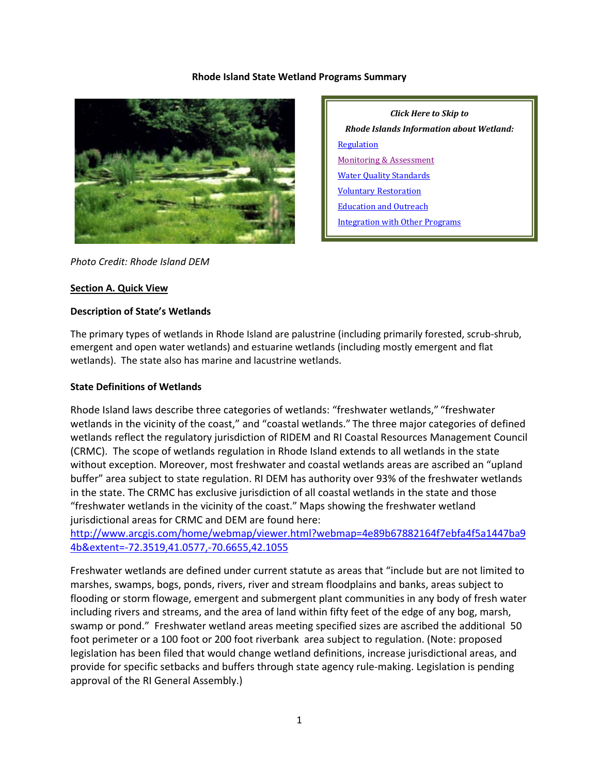#### **Rhode Island State Wetland Programs Summary**



*Click Here to Skip to Rhode Islands Information about Wetland:* **[Regulation](#page-3-0)** [Monitoring & Assessment](#page-6-0) [Water Quality Standards](#page-8-0) [Voluntary Restoration](#page-9-0) [Education and Outreach](#page-11-0) [Integration with Other Programs](#page-11-1)

#### *Photo Credit: Rhode Island DEM*

#### **Section A. Quick View**

#### **Description of State's Wetlands**

The primary types of wetlands in Rhode Island are palustrine (including primarily forested, scrub-shrub, emergent and open water wetlands) and estuarine wetlands (including mostly emergent and flat wetlands). The state also has marine and lacustrine wetlands.

#### **State Definitions of Wetlands**

Rhode Island laws describe three categories of wetlands: "freshwater wetlands," "freshwater wetlands in the vicinity of the coast," and "coastal wetlands." The three major categories of defined wetlands reflect the regulatory jurisdiction of RIDEM and RI Coastal Resources Management Council (CRMC). The scope of wetlands regulation in Rhode Island extends to all wetlands in the state without exception. Moreover, most freshwater and coastal wetlands areas are ascribed an "upland buffer" area subject to state regulation. RI DEM has authority over 93% of the freshwater wetlands in the state. The CRMC has exclusive jurisdiction of all coastal wetlands in the state and those "freshwater wetlands in the vicinity of the coast." Maps showing the freshwater wetland jurisdictional areas for CRMC and DEM are found here:

[http://www.arcgis.com/home/webmap/viewer.html?webmap=4e89b67882164f7ebfa4f5a1447ba9](http://www.arcgis.com/home/webmap/viewer.html?webmap=4e89b67882164f7ebfa4f5a1447ba94b&extent=-72.3519,41.0577,-70.6655,42.1055) [4b&extent=-72.3519,41.0577,-70.6655,42.1055](http://www.arcgis.com/home/webmap/viewer.html?webmap=4e89b67882164f7ebfa4f5a1447ba94b&extent=-72.3519,41.0577,-70.6655,42.1055)

Freshwater wetlands are defined under current statute as areas that "include but are not limited to marshes, swamps, bogs, ponds, rivers, river and stream floodplains and banks, areas subject to flooding or storm flowage, emergent and submergent plant communities in any body of fresh water including rivers and streams, and the area of land within fifty feet of the edge of any bog, marsh, swamp or pond." Freshwater wetland areas meeting specified sizes are ascribed the additional 50 foot perimeter or a 100 foot or 200 foot riverbank area subject to regulation. (Note: proposed legislation has been filed that would change wetland definitions, increase jurisdictional areas, and provide for specific setbacks and buffers through state agency rule-making. Legislation is pending approval of the RI General Assembly.)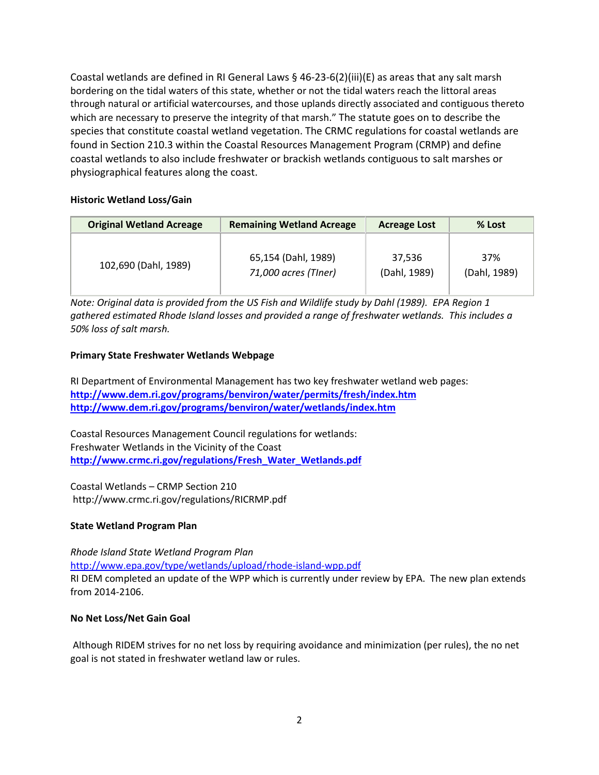Coastal wetlands are defined in RI General Laws  $\S$  46-23-6(2)(iii)(E) as areas that any salt marsh bordering on the tidal waters of this state, whether or not the tidal waters reach the littoral areas through natural or artificial watercourses, and those uplands directly associated and contiguous thereto which are necessary to preserve the integrity of that marsh." The statute goes on to describe the species that constitute coastal wetland vegetation. The CRMC regulations for coastal wetlands are found in Section 210.3 within the Coastal Resources Management Program (CRMP) and define coastal wetlands to also include freshwater or brackish wetlands contiguous to salt marshes or physiographical features along the coast.

## **Historic Wetland Loss/Gain**

| <b>Original Wetland Acreage</b> | <b>Remaining Wetland Acreage</b> | <b>Acreage Lost</b> | % Lost       |
|---------------------------------|----------------------------------|---------------------|--------------|
| 102,690 (Dahl, 1989)            | 65,154 (Dahl, 1989)              | 37.536              | 37%          |
|                                 | 71,000 acres (TIner)             | (Dahl, 1989)        | (Dahl, 1989) |

*Note: Original data is provided from the US Fish and Wildlife study by Dahl (1989). EPA Region 1 gathered estimated Rhode Island losses and provided a range of freshwater wetlands. This includes a 50% loss of salt marsh.*

# **Primary State Freshwater Wetlands Webpage**

RI Department of Environmental Management has two key freshwater wetland web pages: **<http://www.dem.ri.gov/programs/benviron/water/permits/fresh/index.htm> <http://www.dem.ri.gov/programs/benviron/water/wetlands/index.htm>**

Coastal Resources Management Council regulations for wetlands: Freshwater Wetlands in the Vicinity of the Coast **[http://www.crmc.ri.gov/regulations/Fresh\\_Water\\_Wetlands.pdf](http://www.crmc.ri.gov/regulations/Fresh_Water_Wetlands.pdf)**

Coastal Wetlands – CRMP Section 210 http://www.crmc.ri.gov/regulations/RICRMP.pdf

## **State Wetland Program Plan**

*Rhode Island State Wetland Program Plan* <http://www.epa.gov/type/wetlands/upload/rhode-island-wpp.pdf> RI DEM completed an update of the WPP which is currently under review by EPA. The new plan extends from 2014-2106.

## **No Net Loss/Net Gain Goal**

Although RIDEM strives for no net loss by requiring avoidance and minimization (per rules), the no net goal is not stated in freshwater wetland law or rules.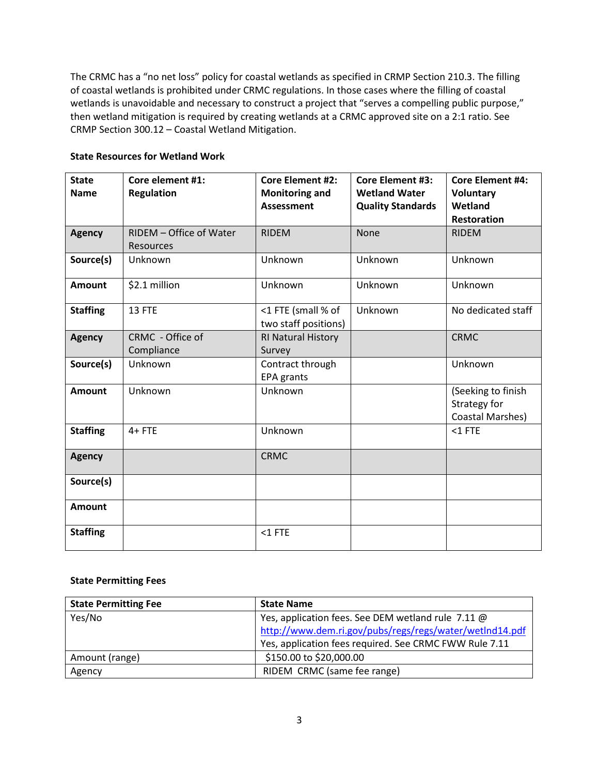The CRMC has a "no net loss" policy for coastal wetlands as specified in CRMP Section 210.3. The filling of coastal wetlands is prohibited under CRMC regulations. In those cases where the filling of coastal wetlands is unavoidable and necessary to construct a project that "serves a compelling public purpose," then wetland mitigation is required by creating wetlands at a CRMC approved site on a 2:1 ratio. See CRMP Section 300.12 – Coastal Wetland Mitigation.

| <b>State</b>    | Core element #1:        | <b>Core Element #2:</b>                    | <b>Core Element #3:</b>  | <b>Core Element #4:</b>       |
|-----------------|-------------------------|--------------------------------------------|--------------------------|-------------------------------|
| <b>Name</b>     | <b>Regulation</b>       | <b>Monitoring and</b>                      | <b>Wetland Water</b>     | <b>Voluntary</b>              |
|                 |                         | <b>Assessment</b>                          | <b>Quality Standards</b> | Wetland<br><b>Restoration</b> |
|                 | RIDEM - Office of Water | <b>RIDEM</b>                               | <b>None</b>              | <b>RIDEM</b>                  |
| <b>Agency</b>   | <b>Resources</b>        |                                            |                          |                               |
| Source(s)       | Unknown                 | Unknown                                    | Unknown                  | Unknown                       |
| <b>Amount</b>   | \$2.1 million           | Unknown                                    | Unknown                  | Unknown                       |
| <b>Staffing</b> | 13 FTE                  | <1 FTE (small % of<br>two staff positions) | Unknown                  | No dedicated staff            |
| <b>Agency</b>   | CRMC - Office of        | RI Natural History                         |                          | <b>CRMC</b>                   |
|                 | Compliance              | Survey                                     |                          |                               |
| Source(s)       | Unknown                 | Contract through                           |                          | Unknown                       |
|                 |                         | <b>EPA</b> grants                          |                          |                               |
| <b>Amount</b>   | Unknown                 | Unknown                                    |                          | (Seeking to finish            |
|                 |                         |                                            |                          | Strategy for                  |
|                 |                         |                                            |                          | Coastal Marshes)              |
| <b>Staffing</b> | $4 + FTE$               | Unknown                                    |                          | $<$ 1 FTE                     |
| <b>Agency</b>   |                         | <b>CRMC</b>                                |                          |                               |
| Source(s)       |                         |                                            |                          |                               |
| <b>Amount</b>   |                         |                                            |                          |                               |
| <b>Staffing</b> |                         | $<$ 1 FTE                                  |                          |                               |

## **State Resources for Wetland Work**

#### **State Permitting Fees**

| <b>State Permitting Fee</b> | <b>State Name</b>                                       |  |  |  |
|-----------------------------|---------------------------------------------------------|--|--|--|
| Yes/No                      | Yes, application fees. See DEM wetland rule 7.11 @      |  |  |  |
|                             | http://www.dem.ri.gov/pubs/regs/regs/water/wetlnd14.pdf |  |  |  |
|                             | Yes, application fees required. See CRMC FWW Rule 7.11  |  |  |  |
| Amount (range)              | \$150.00 to \$20,000.00                                 |  |  |  |
| Agency                      | RIDEM CRMC (same fee range)                             |  |  |  |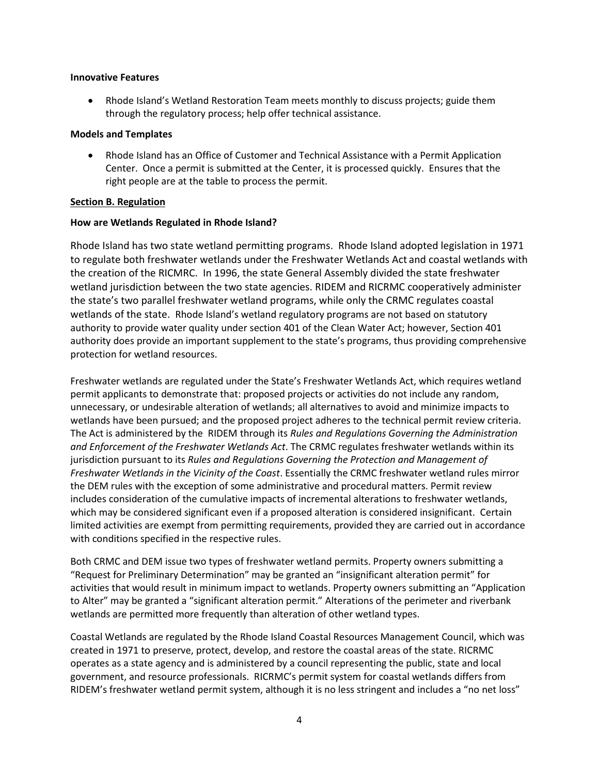#### **Innovative Features**

• Rhode Island's Wetland Restoration Team meets monthly to discuss projects; guide them through the regulatory process; help offer technical assistance.

#### **Models and Templates**

• Rhode Island has an Office of Customer and Technical Assistance with a Permit Application Center. Once a permit is submitted at the Center, it is processed quickly. Ensures that the right people are at the table to process the permit.

## <span id="page-3-0"></span>**Section B. Regulation**

## **How are Wetlands Regulated in Rhode Island?**

Rhode Island has two state wetland permitting programs. Rhode Island adopted legislation in 1971 to regulate both freshwater wetlands under the Freshwater Wetlands Act and coastal wetlands with the creation of the RICMRC. In 1996, the state General Assembly divided the state freshwater wetland jurisdiction between the two state agencies. RIDEM and RICRMC cooperatively administer the state's two parallel freshwater wetland programs, while only the CRMC regulates coastal wetlands of the state. Rhode Island's wetland regulatory programs are not based on statutory authority to provide water quality under section 401 of the Clean Water Act; however, Section 401 authority does provide an important supplement to the state's programs, thus providing comprehensive protection for wetland resources.

Freshwater wetlands are regulated under the State's Freshwater Wetlands Act, which requires wetland permit applicants to demonstrate that: proposed projects or activities do not include any random, unnecessary, or undesirable alteration of wetlands; all alternatives to avoid and minimize impacts to wetlands have been pursued; and the proposed project adheres to the technical permit review criteria. The Act is administered by the RIDEM through its *Rules and Regulations Governing the Administration and Enforcement of the Freshwater Wetlands Act*. The CRMC regulates freshwater wetlands within its jurisdiction pursuant to its *Rules and Regulations Governing the Protection and Management of Freshwater Wetlands in the Vicinity of the Coast*. Essentially the CRMC freshwater wetland rules mirror the DEM rules with the exception of some administrative and procedural matters. Permit review includes consideration of the cumulative impacts of incremental alterations to freshwater wetlands, which may be considered significant even if a proposed alteration is considered insignificant. Certain limited activities are exempt from permitting requirements, provided they are carried out in accordance with conditions specified in the respective rules.

Both CRMC and DEM issue two types of freshwater wetland permits. Property owners submitting a "Request for Preliminary Determination" may be granted an "insignificant alteration permit" for activities that would result in minimum impact to wetlands. Property owners submitting an "Application to Alter" may be granted a "significant alteration permit." Alterations of the perimeter and riverbank wetlands are permitted more frequently than alteration of other wetland types.

Coastal Wetlands are regulated by the Rhode Island Coastal Resources Management Council, which was created in 1971 to preserve, protect, develop, and restore the coastal areas of the state. RICRMC operates as a state agency and is administered by a council representing the public, state and local government, and resource professionals. RICRMC's permit system for coastal wetlands differs from RIDEM's freshwater wetland permit system, although it is no less stringent and includes a "no net loss"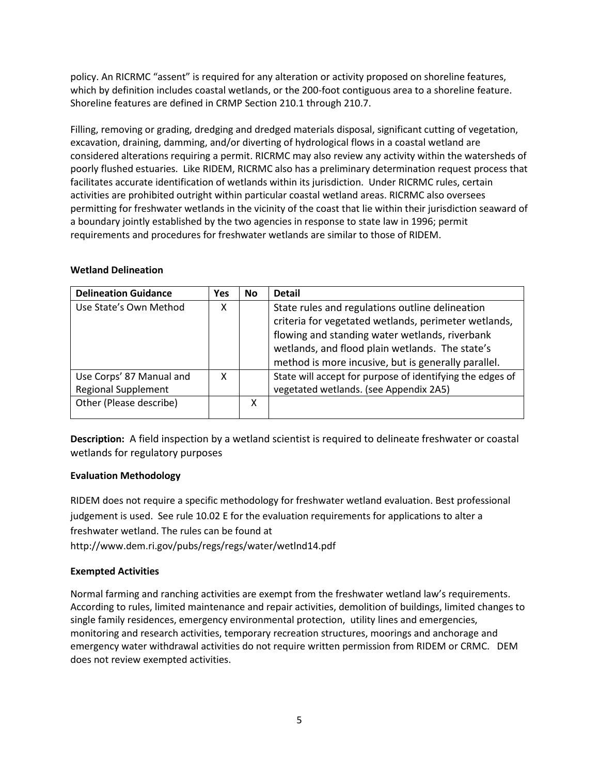policy. An RICRMC "assent" is required for any alteration or activity proposed on shoreline features, which by definition includes coastal wetlands, or the 200-foot contiguous area to a shoreline feature. Shoreline features are defined in CRMP Section 210.1 through 210.7.

Filling, removing or grading, dredging and dredged materials disposal, significant cutting of vegetation, excavation, draining, damming, and/or diverting of hydrological flows in a coastal wetland are considered alterations requiring a permit. RICRMC may also review any activity within the watersheds of poorly flushed estuaries. Like RIDEM, RICRMC also has a preliminary determination request process that facilitates accurate identification of wetlands within its jurisdiction. Under RICRMC rules, certain activities are prohibited outright within particular coastal wetland areas. RICRMC also oversees permitting for freshwater wetlands in the vicinity of the coast that lie within their jurisdiction seaward of a boundary jointly established by the two agencies in response to state law in 1996; permit requirements and procedures for freshwater wetlands are similar to those of RIDEM.

## **Wetland Delineation**

| <b>Delineation Guidance</b> | <b>Yes</b> | No. | <b>Detail</b>                                             |
|-----------------------------|------------|-----|-----------------------------------------------------------|
| Use State's Own Method      | χ          |     | State rules and regulations outline delineation           |
|                             |            |     | criteria for vegetated wetlands, perimeter wetlands,      |
|                             |            |     | flowing and standing water wetlands, riverbank            |
|                             |            |     | wetlands, and flood plain wetlands. The state's           |
|                             |            |     | method is more incusive, but is generally parallel.       |
| Use Corps' 87 Manual and    | x          |     | State will accept for purpose of identifying the edges of |
| <b>Regional Supplement</b>  |            |     | vegetated wetlands. (see Appendix 2A5)                    |
| Other (Please describe)     |            | x   |                                                           |
|                             |            |     |                                                           |

**Description:** A field inspection by a wetland scientist is required to delineate freshwater or coastal wetlands for regulatory purposes

## **Evaluation Methodology**

RIDEM does not require a specific methodology for freshwater wetland evaluation. Best professional judgement is used. See rule 10.02 E for the evaluation requirements for applications to alter a freshwater wetland. The rules can be found at

http://www.dem.ri.gov/pubs/regs/regs/water/wetlnd14.pdf

# **Exempted Activities**

Normal farming and ranching activities are exempt from the freshwater wetland law's requirements. According to rules, limited maintenance and repair activities, demolition of buildings, limited changes to single family residences, emergency environmental protection, utility lines and emergencies, monitoring and research activities, temporary recreation structures, moorings and anchorage and emergency water withdrawal activities do not require written permission from RIDEM or CRMC. DEM does not review exempted activities.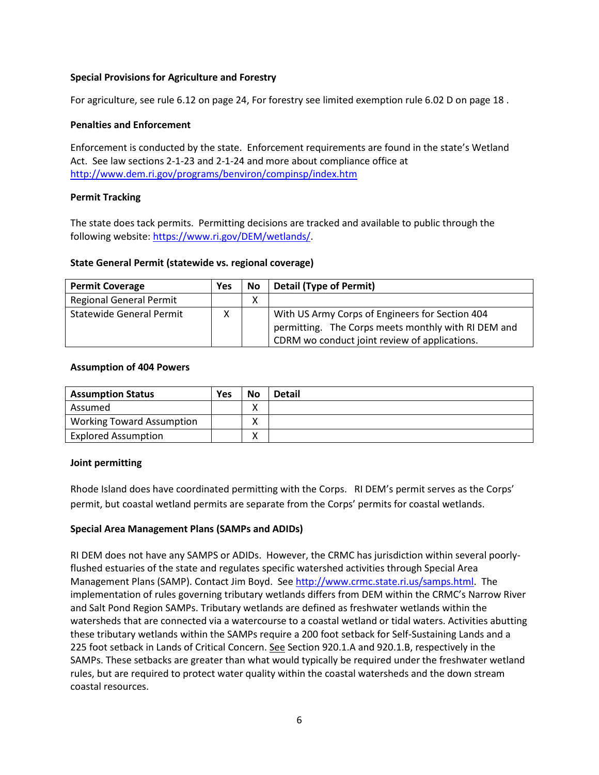# **Special Provisions for Agriculture and Forestry**

For agriculture, see rule 6.12 on page 24, For forestry see limited exemption rule 6.02 D on page 18 .

## **Penalties and Enforcement**

Enforcement is conducted by the state. Enforcement requirements are found in the state's Wetland Act. See law sections 2-1-23 and 2-1-24 and more about compliance office at <http://www.dem.ri.gov/programs/benviron/compinsp/index.htm>

## **Permit Tracking**

The state does tack permits. Permitting decisions are tracked and available to public through the following website: [https://www.ri.gov/DEM/wetlands/.](https://www.ri.gov/DEM/wetlands/)

## **State General Permit (statewide vs. regional coverage)**

| <b>Permit Coverage</b>          | Yes | <b>No</b> | <b>Detail (Type of Permit)</b>                      |
|---------------------------------|-----|-----------|-----------------------------------------------------|
| <b>Regional General Permit</b>  |     | χ         |                                                     |
| <b>Statewide General Permit</b> | x   |           | With US Army Corps of Engineers for Section 404     |
|                                 |     |           | permitting. The Corps meets monthly with RI DEM and |
|                                 |     |           | CDRM wo conduct joint review of applications.       |

## **Assumption of 404 Powers**

| <b>Assumption Status</b>         | <b>Yes</b> | <b>No</b>         | <b>Detail</b> |
|----------------------------------|------------|-------------------|---------------|
| Assumed                          |            | $\checkmark$<br>Λ |               |
| <b>Working Toward Assumption</b> |            | $\checkmark$      |               |
| <b>Explored Assumption</b>       |            | $\checkmark$<br>Λ |               |

## **Joint permitting**

Rhode Island does have coordinated permitting with the Corps. RI DEM's permit serves as the Corps' permit, but coastal wetland permits are separate from the Corps' permits for coastal wetlands.

# **Special Area Management Plans (SAMPs and ADIDs)**

RI DEM does not have any SAMPS or ADIDs. However, the CRMC has jurisdiction within several poorlyflushed estuaries of the state and regulates specific watershed activities through Special Area Management Plans (SAMP). Contact Jim Boyd. See [http://www.crmc.state.ri.us/samps.html.](http://www.crmc.state.ri.us/samps.html) The implementation of rules governing tributary wetlands differs from DEM within the CRMC's Narrow River and Salt Pond Region SAMPs. Tributary wetlands are defined as freshwater wetlands within the watersheds that are connected via a watercourse to a coastal wetland or tidal waters. Activities abutting these tributary wetlands within the SAMPs require a 200 foot setback for Self-Sustaining Lands and a 225 foot setback in Lands of Critical Concern. See Section 920.1.A and 920.1.B, respectively in the SAMPs. These setbacks are greater than what would typically be required under the freshwater wetland rules, but are required to protect water quality within the coastal watersheds and the down stream coastal resources.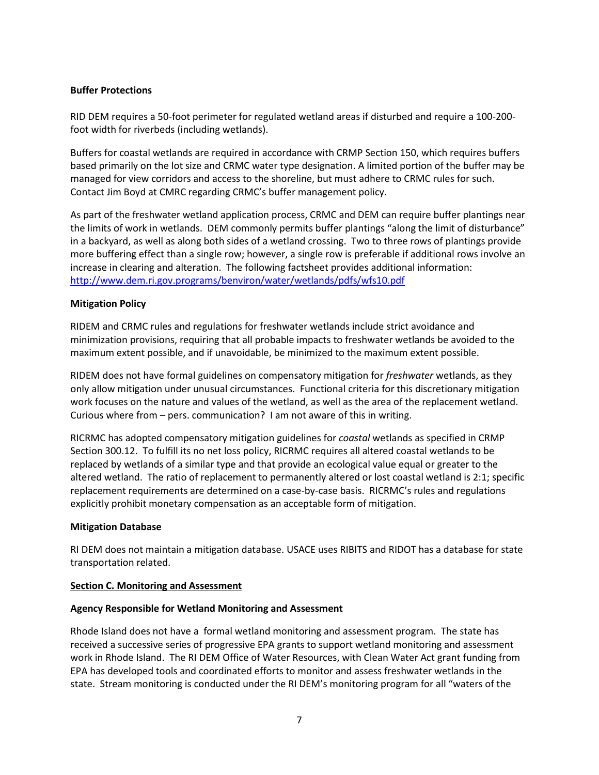## **Buffer Protections**

RID DEM requires a 50-foot perimeter for regulated wetland areas if disturbed and require a 100-200 foot width for riverbeds (including wetlands).

Buffers for coastal wetlands are required in accordance with CRMP Section 150, which requires buffers based primarily on the lot size and CRMC water type designation. A limited portion of the buffer may be managed for view corridors and access to the shoreline, but must adhere to CRMC rules for such. Contact Jim Boyd at CMRC regarding CRMC's buffer management policy.

As part of the freshwater wetland application process, CRMC and DEM can require buffer plantings near the limits of work in wetlands. DEM commonly permits buffer plantings "along the limit of disturbance" in a backyard, as well as along both sides of a wetland crossing. Two to three rows of plantings provide more buffering effect than a single row; however, a single row is preferable if additional rows involve an increase in clearing and alteration. The following factsheet provides additional information: <http://www.dem.ri.gov.programs/benviron/water/wetlands/pdfs/wfs10.pdf>

# **Mitigation Policy**

RIDEM and CRMC rules and regulations for freshwater wetlands include strict avoidance and minimization provisions, requiring that all probable impacts to freshwater wetlands be avoided to the maximum extent possible, and if unavoidable, be minimized to the maximum extent possible.

RIDEM does not have formal guidelines on compensatory mitigation for *freshwater* wetlands, as they only allow mitigation under unusual circumstances. Functional criteria for this discretionary mitigation work focuses on the nature and values of the wetland, as well as the area of the replacement wetland. Curious where from – pers. communication? I am not aware of this in writing.

RICRMC has adopted compensatory mitigation guidelines for *coastal* wetlands as specified in CRMP Section 300.12. To fulfill its no net loss policy, RICRMC requires all altered coastal wetlands to be replaced by wetlands of a similar type and that provide an ecological value equal or greater to the altered wetland. The ratio of replacement to permanently altered or lost coastal wetland is 2:1; specific replacement requirements are determined on a case-by-case basis. RICRMC's rules and regulations explicitly prohibit monetary compensation as an acceptable form of mitigation.

## **Mitigation Database**

RI DEM does not maintain a mitigation database. USACE uses RIBITS and RIDOT has a database for state transportation related.

## <span id="page-6-0"></span>**Section C. Monitoring and Assessment**

## **Agency Responsible for Wetland Monitoring and Assessment**

Rhode Island does not have a formal wetland monitoring and assessment program. The state has received a successive series of progressive EPA grants to support wetland monitoring and assessment work in Rhode Island. The RI DEM Office of Water Resources, with Clean Water Act grant funding from EPA has developed tools and coordinated efforts to monitor and assess freshwater wetlands in the state. Stream monitoring is conducted under the RI DEM's monitoring program for all "waters of the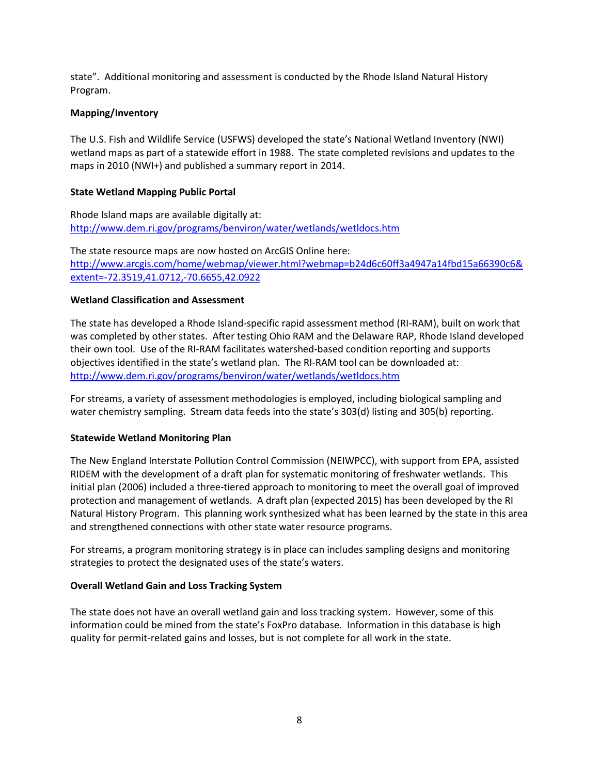state". Additional monitoring and assessment is conducted by the Rhode Island Natural History Program.

# **Mapping/Inventory**

The U.S. Fish and Wildlife Service (USFWS) developed the state's National Wetland Inventory (NWI) wetland maps as part of a statewide effort in 1988. The state completed revisions and updates to the maps in 2010 (NWI+) and published a summary report in 2014.

## **State Wetland Mapping Public Portal**

Rhode Island maps are available digitally at: <http://www.dem.ri.gov/programs/benviron/water/wetlands/wetldocs.htm>

The state resource maps are now hosted on ArcGIS Online here: [http://www.arcgis.com/home/webmap/viewer.html?webmap=b24d6c60ff3a4947a14fbd15a66390c6&](http://www.arcgis.com/home/webmap/viewer.html?webmap=b24d6c60ff3a4947a14fbd15a66390c6&extent=-72.3519,41.0712,-70.6655,42.0922) [extent=-72.3519,41.0712,-70.6655,42.0922](http://www.arcgis.com/home/webmap/viewer.html?webmap=b24d6c60ff3a4947a14fbd15a66390c6&extent=-72.3519,41.0712,-70.6655,42.0922)

## **Wetland Classification and Assessment**

The state has developed a Rhode Island-specific rapid assessment method (RI-RAM), built on work that was completed by other states. After testing Ohio RAM and the Delaware RAP, Rhode Island developed their own tool. Use of the RI-RAM facilitates watershed-based condition reporting and supports objectives identified in the state's wetland plan. The RI-RAM tool can be downloaded at: <http://www.dem.ri.gov/programs/benviron/water/wetlands/wetldocs.htm>

For streams, a variety of assessment methodologies is employed, including biological sampling and water chemistry sampling. Stream data feeds into the state's 303(d) listing and 305(b) reporting.

## **Statewide Wetland Monitoring Plan**

The New England Interstate Pollution Control Commission (NEIWPCC), with support from EPA, assisted RIDEM with the development of a draft plan for systematic monitoring of freshwater wetlands. This initial plan (2006) included a three-tiered approach to monitoring to meet the overall goal of improved protection and management of wetlands. A draft plan (expected 2015) has been developed by the RI Natural History Program. This planning work synthesized what has been learned by the state in this area and strengthened connections with other state water resource programs.

For streams, a program monitoring strategy is in place can includes sampling designs and monitoring strategies to protect the designated uses of the state's waters.

## **Overall Wetland Gain and Loss Tracking System**

The state does not have an overall wetland gain and loss tracking system. However, some of this information could be mined from the state's FoxPro database. Information in this database is high quality for permit-related gains and losses, but is not complete for all work in the state.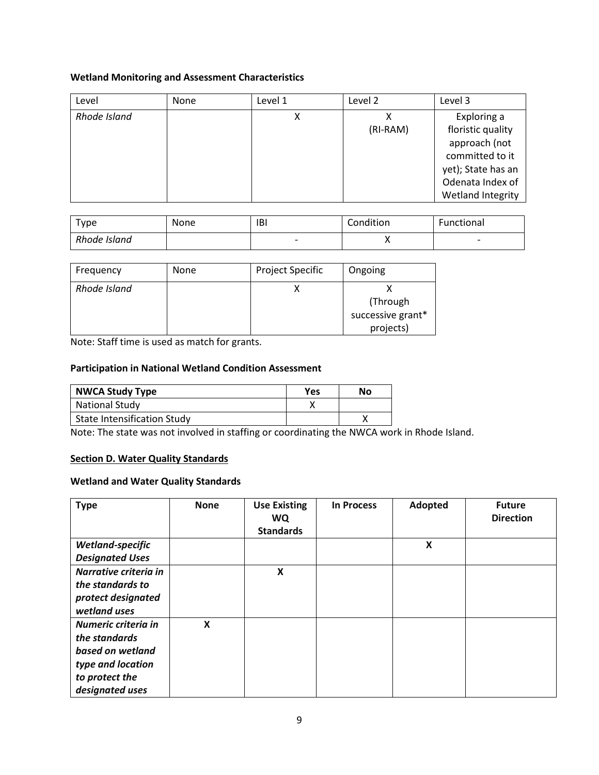# **Wetland Monitoring and Assessment Characteristics**

| Level        | None | Level 1 | Level 2  | Level 3                                                                                                                             |
|--------------|------|---------|----------|-------------------------------------------------------------------------------------------------------------------------------------|
| Rhode Island |      | ∧       | (RI-RAM) | Exploring a<br>floristic quality<br>approach (not<br>committed to it<br>yet); State has an<br>Odenata Index of<br>Wetland Integrity |

| туре         | None | <b>IBI</b>               | Condition | <b>Functional</b>        |
|--------------|------|--------------------------|-----------|--------------------------|
| Rhode Island |      | $\overline{\phantom{0}}$ | ,,        | $\overline{\phantom{0}}$ |

| Frequency    | None | <b>Project Specific</b> | Ongoing           |
|--------------|------|-------------------------|-------------------|
| Rhode Island |      |                         |                   |
|              |      |                         | (Through          |
|              |      |                         | successive grant* |
|              |      |                         | projects)         |

Note: Staff time is used as match for grants.

## **Participation in National Wetland Condition Assessment**

| <b>NWCA Study Type</b>             | Yes | No |
|------------------------------------|-----|----|
| <b>National Study</b>              |     |    |
| <b>State Intensification Study</b> |     |    |

Note: The state was not involved in staffing or coordinating the NWCA work in Rhode Island.

# <span id="page-8-0"></span>**Section D. Water Quality Standards**

#### **Wetland and Water Quality Standards**

| <b>Type</b>            | <b>None</b> | <b>Use Existing</b><br><b>WQ</b><br><b>Standards</b> | <b>In Process</b> | Adopted | <b>Future</b><br><b>Direction</b> |
|------------------------|-------------|------------------------------------------------------|-------------------|---------|-----------------------------------|
| Wetland-specific       |             |                                                      |                   | X       |                                   |
| <b>Designated Uses</b> |             |                                                      |                   |         |                                   |
| Narrative criteria in  |             | X                                                    |                   |         |                                   |
| the standards to       |             |                                                      |                   |         |                                   |
| protect designated     |             |                                                      |                   |         |                                   |
| wetland uses           |             |                                                      |                   |         |                                   |
| Numeric criteria in    | X           |                                                      |                   |         |                                   |
| the standards          |             |                                                      |                   |         |                                   |
| based on wetland       |             |                                                      |                   |         |                                   |
| type and location      |             |                                                      |                   |         |                                   |
| to protect the         |             |                                                      |                   |         |                                   |
| designated uses        |             |                                                      |                   |         |                                   |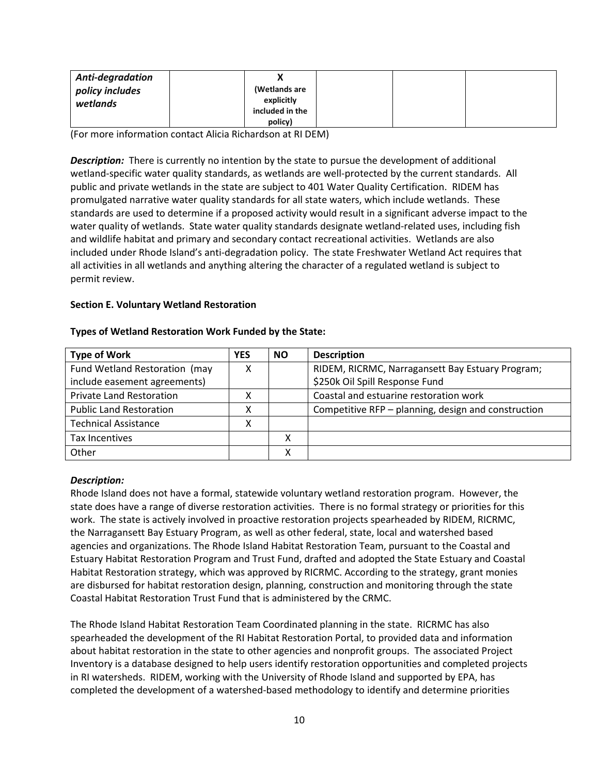| <b>Anti-degradation</b> | Λ                           |  |  |
|-------------------------|-----------------------------|--|--|
| policy includes         | (Wetlands are<br>explicitly |  |  |
| wetlands                | included in the             |  |  |
|                         | policy)                     |  |  |

(For more information contact Alicia Richardson at RI DEM)

**Description:** There is currently no intention by the state to pursue the development of additional wetland-specific water quality standards, as wetlands are well-protected by the current standards. All public and private wetlands in the state are subject to 401 Water Quality Certification. RIDEM has promulgated narrative water quality standards for all state waters, which include wetlands. These standards are used to determine if a proposed activity would result in a significant adverse impact to the water quality of wetlands. State water quality standards designate wetland-related uses, including fish and wildlife habitat and primary and secondary contact recreational activities. Wetlands are also included under Rhode Island's anti-degradation policy. The state Freshwater Wetland Act requires that all activities in all wetlands and anything altering the character of a regulated wetland is subject to permit review.

#### <span id="page-9-0"></span>**Section E. Voluntary Wetland Restoration**

| <b>Type of Work</b>             | YES | <b>NO</b> | <b>Description</b>                                  |
|---------------------------------|-----|-----------|-----------------------------------------------------|
| Fund Wetland Restoration (may   |     |           | RIDEM, RICRMC, Narragansett Bay Estuary Program;    |
| include easement agreements)    |     |           | \$250k Oil Spill Response Fund                      |
| <b>Private Land Restoration</b> |     |           | Coastal and estuarine restoration work              |
| <b>Public Land Restoration</b>  |     |           | Competitive RFP – planning, design and construction |
| <b>Technical Assistance</b>     |     |           |                                                     |
| <b>Tax Incentives</b>           |     |           |                                                     |
| Other                           |     |           |                                                     |

#### **Types of Wetland Restoration Work Funded by the State:**

#### *Description:*

Rhode Island does not have a formal, statewide voluntary wetland restoration program. However, the state does have a range of diverse restoration activities. There is no formal strategy or priorities for this work. The state is actively involved in proactive restoration projects spearheaded by RIDEM, RICRMC, the Narragansett Bay Estuary Program, as well as other federal, state, local and watershed based agencies and organizations. The Rhode Island Habitat Restoration Team, pursuant to the Coastal and Estuary Habitat Restoration Program and Trust Fund, drafted and adopted the State Estuary and Coastal Habitat Restoration strategy, which was approved by RICRMC. According to the strategy, grant monies are disbursed for habitat restoration design, planning, construction and monitoring through the state Coastal Habitat Restoration Trust Fund that is administered by the CRMC.

The Rhode Island Habitat Restoration Team Coordinated planning in the state. RICRMC has also spearheaded the development of the RI Habitat Restoration Portal, to provided data and information about habitat restoration in the state to other agencies and nonprofit groups. The associated Project Inventory is a database designed to help users identify restoration opportunities and completed projects in RI watersheds. RIDEM, working with the University of Rhode Island and supported by EPA, has completed the development of a watershed-based methodology to identify and determine priorities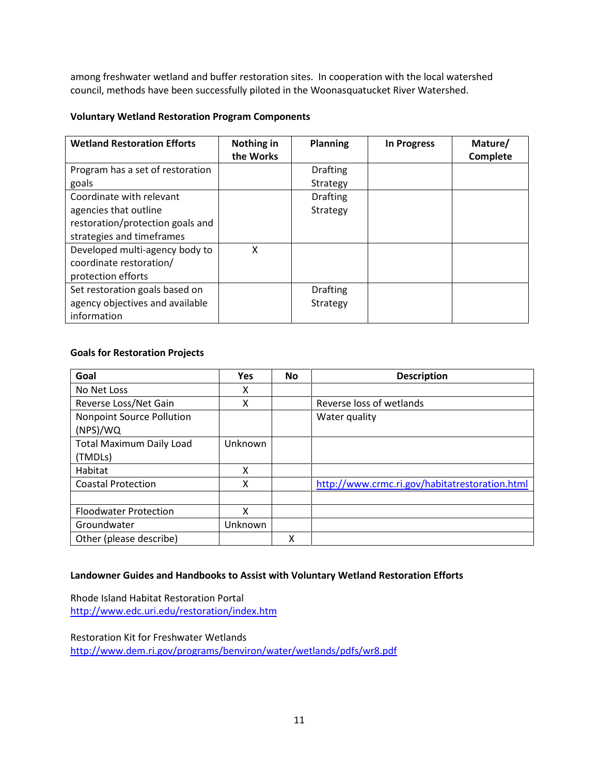among freshwater wetland and buffer restoration sites. In cooperation with the local watershed council, methods have been successfully piloted in the Woonasquatucket River Watershed.

# **Voluntary Wetland Restoration Program Components**

| <b>Wetland Restoration Efforts</b> | Nothing in | <b>Planning</b> | <b>In Progress</b> | Mature/  |
|------------------------------------|------------|-----------------|--------------------|----------|
|                                    | the Works  |                 |                    | Complete |
| Program has a set of restoration   |            | <b>Drafting</b> |                    |          |
| goals                              |            | Strategy        |                    |          |
| Coordinate with relevant           |            | <b>Drafting</b> |                    |          |
| agencies that outline              |            | Strategy        |                    |          |
| restoration/protection goals and   |            |                 |                    |          |
| strategies and timeframes          |            |                 |                    |          |
| Developed multi-agency body to     | X          |                 |                    |          |
| coordinate restoration/            |            |                 |                    |          |
| protection efforts                 |            |                 |                    |          |
| Set restoration goals based on     |            | <b>Drafting</b> |                    |          |
| agency objectives and available    |            | Strategy        |                    |          |
| information                        |            |                 |                    |          |

# **Goals for Restoration Projects**

| Goal                                       | <b>Yes</b> | <b>No</b> | <b>Description</b>                             |
|--------------------------------------------|------------|-----------|------------------------------------------------|
| No Net Loss                                | x          |           |                                                |
| Reverse Loss/Net Gain                      | χ          |           | Reverse loss of wetlands                       |
| Nonpoint Source Pollution<br>(NPS)/WQ      |            |           | Water quality                                  |
| <b>Total Maximum Daily Load</b><br>(TMDLs) | Unknown    |           |                                                |
| Habitat                                    | χ          |           |                                                |
| <b>Coastal Protection</b>                  | χ          |           | http://www.crmc.ri.gov/habitatrestoration.html |
|                                            |            |           |                                                |
| <b>Floodwater Protection</b>               | x          |           |                                                |
| Groundwater                                | Unknown    |           |                                                |
| Other (please describe)                    |            | χ         |                                                |

## **Landowner Guides and Handbooks to Assist with Voluntary Wetland Restoration Efforts**

Rhode Island Habitat Restoration Portal <http://www.edc.uri.edu/restoration/index.htm>

Restoration Kit for Freshwater Wetlands <http://www.dem.ri.gov/programs/benviron/water/wetlands/pdfs/wr8.pdf>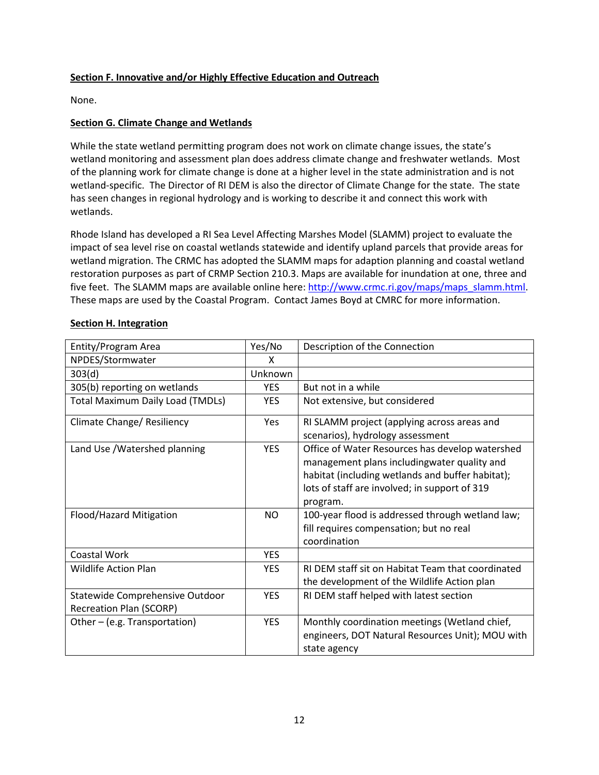## <span id="page-11-0"></span>**Section F. Innovative and/or Highly Effective Education and Outreach**

None.

# **Section G. Climate Change and Wetlands**

While the state wetland permitting program does not work on climate change issues, the state's wetland monitoring and assessment plan does address climate change and freshwater wetlands. Most of the planning work for climate change is done at a higher level in the state administration and is not wetland-specific. The Director of RI DEM is also the director of Climate Change for the state. The state has seen changes in regional hydrology and is working to describe it and connect this work with wetlands.

Rhode Island has developed a RI Sea Level Affecting Marshes Model (SLAMM) project to evaluate the impact of sea level rise on coastal wetlands statewide and identify upland parcels that provide areas for wetland migration. The CRMC has adopted the SLAMM maps for adaption planning and coastal wetland restoration purposes as part of CRMP Section 210.3. Maps are available for inundation at one, three and five feet. The SLAMM maps are available online here: [http://www.crmc.ri.gov/maps/maps\\_slamm.html.](http://www.crmc.ri.gov/maps/maps_slamm.html) These maps are used by the Coastal Program. Contact James Boyd at CMRC for more information.

| Entity/Program Area                                               | Yes/No     | Description of the Connection                                                                                                                                                                                   |
|-------------------------------------------------------------------|------------|-----------------------------------------------------------------------------------------------------------------------------------------------------------------------------------------------------------------|
| NPDES/Stormwater                                                  | x          |                                                                                                                                                                                                                 |
| 303(d)                                                            | Unknown    |                                                                                                                                                                                                                 |
| 305(b) reporting on wetlands                                      | <b>YES</b> | But not in a while                                                                                                                                                                                              |
| <b>Total Maximum Daily Load (TMDLs)</b>                           | <b>YES</b> | Not extensive, but considered                                                                                                                                                                                   |
| Climate Change/ Resiliency                                        | Yes        | RI SLAMM project (applying across areas and<br>scenarios), hydrology assessment                                                                                                                                 |
| Land Use / Watershed planning                                     | <b>YES</b> | Office of Water Resources has develop watershed<br>management plans includingwater quality and<br>habitat (including wetlands and buffer habitat);<br>lots of staff are involved; in support of 319<br>program. |
| Flood/Hazard Mitigation                                           | <b>NO</b>  | 100-year flood is addressed through wetland law;<br>fill requires compensation; but no real<br>coordination                                                                                                     |
| Coastal Work                                                      | <b>YES</b> |                                                                                                                                                                                                                 |
| <b>Wildlife Action Plan</b>                                       | <b>YES</b> | RLDFM staff sit on Habitat Team that coordinated<br>the development of the Wildlife Action plan                                                                                                                 |
| Statewide Comprehensive Outdoor<br><b>Recreation Plan (SCORP)</b> | <b>YES</b> | RI DEM staff helped with latest section                                                                                                                                                                         |
| Other – (e.g. Transportation)                                     | <b>YES</b> | Monthly coordination meetings (Wetland chief,<br>engineers, DOT Natural Resources Unit); MOU with<br>state agency                                                                                               |

## <span id="page-11-1"></span>**Section H. Integration**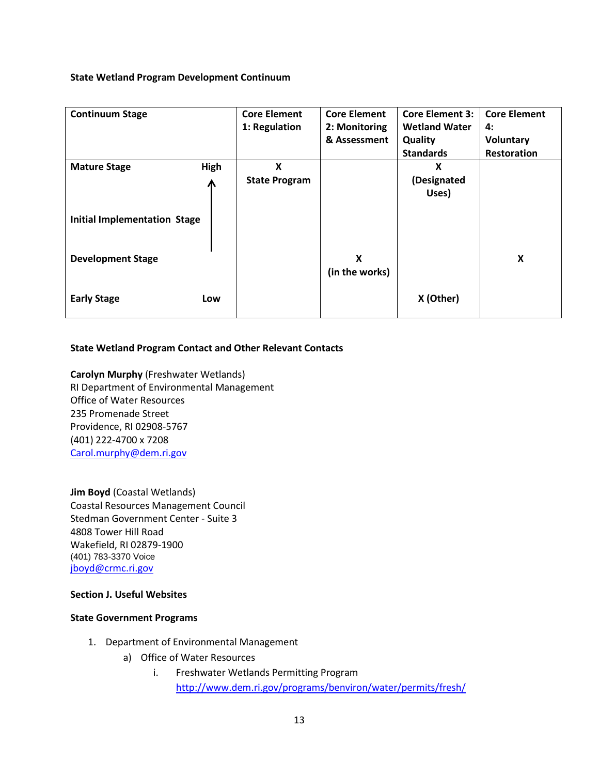#### **State Wetland Program Development Continuum**

| <b>Continuum Stage</b>              |      | <b>Core Element</b>  | <b>Core Element</b> | <b>Core Element 3:</b> | <b>Core Element</b> |
|-------------------------------------|------|----------------------|---------------------|------------------------|---------------------|
|                                     |      | 1: Regulation        | 2: Monitoring       | <b>Wetland Water</b>   | 4:                  |
|                                     |      |                      | & Assessment        | Quality                | <b>Voluntary</b>    |
|                                     |      |                      |                     | <b>Standards</b>       | Restoration         |
| <b>Mature Stage</b>                 | High | X                    |                     | X                      |                     |
|                                     | ⋀    | <b>State Program</b> |                     | (Designated            |                     |
|                                     |      |                      |                     | Uses)                  |                     |
|                                     |      |                      |                     |                        |                     |
| <b>Initial Implementation Stage</b> |      |                      |                     |                        |                     |
|                                     |      |                      |                     |                        |                     |
|                                     |      |                      |                     |                        |                     |
| <b>Development Stage</b>            |      |                      | X                   |                        | X                   |
|                                     |      |                      | (in the works)      |                        |                     |
|                                     |      |                      |                     |                        |                     |
| <b>Early Stage</b>                  | Low  |                      |                     | X (Other)              |                     |
|                                     |      |                      |                     |                        |                     |

#### **State Wetland Program Contact and Other Relevant Contacts**

**Carolyn Murphy** (Freshwater Wetlands) RI Department of Environmental Management Office of Water Resources 235 Promenade Street Providence, RI 02908-5767 (401) 222-4700 x 7208 [Carol.murphy@dem.ri.gov](mailto:Carol.murphy@dem.ri.gov)

**Jim Boyd** (Coastal Wetlands) Coastal Resources Management Council Stedman Government Center - Suite 3 4808 Tower Hill Road Wakefield, RI 02879-1900 (401) 783-3370 Voice [jboyd@crmc.ri.gov](mailto:jboyd@crmc.ri.gov)

#### **Section J. Useful Websites**

## **State Government Programs**

- 1. Department of Environmental Management
	- a) Office of Water Resources
		- i. Freshwater Wetlands Permitting Program

<http://www.dem.ri.gov/programs/benviron/water/permits/fresh/>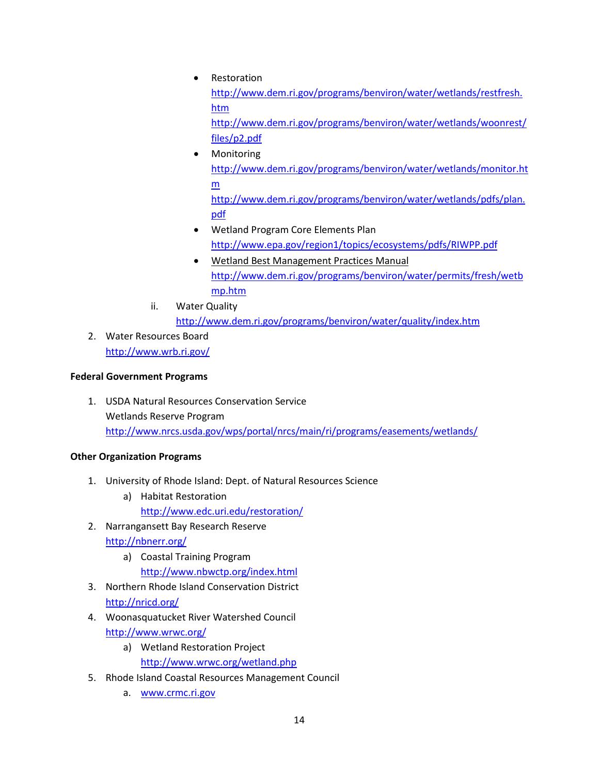- Restoration [http://www.dem.ri.gov/programs/benviron/water/wetlands/restfresh.](http://www.dem.ri.gov/programs/benviron/water/wetlands/restfresh.htm) [htm](http://www.dem.ri.gov/programs/benviron/water/wetlands/restfresh.htm) [http://www.dem.ri.gov/programs/benviron/water/wetlands/woonrest/](http://www.dem.ri.gov/programs/benviron/water/wetlands/woonrest/files/p2.pdf) [files/p2.pdf](http://www.dem.ri.gov/programs/benviron/water/wetlands/woonrest/files/p2.pdf) • Monitoring
- [http://www.dem.ri.gov/programs/benviron/water/wetlands/monitor.ht](http://www.dem.ri.gov/programs/benviron/water/wetlands/monitor.htm) [m](http://www.dem.ri.gov/programs/benviron/water/wetlands/monitor.htm) [http://www.dem.ri.gov/programs/benviron/water/wetlands/pdfs/plan.](http://www.dem.ri.gov/programs/benviron/water/wetlands/pdfs/plan.pdf) [pdf](http://www.dem.ri.gov/programs/benviron/water/wetlands/pdfs/plan.pdf)
- Wetland Program Core Elements Plan <http://www.epa.gov/region1/topics/ecosystems/pdfs/RIWPP.pdf>
- Wetland Best Management Practices Manual [http://www.dem.ri.gov/programs/benviron/water/permits/fresh/wetb](http://www.dem.ri.gov/programs/benviron/water/permits/fresh/wetbmp.htm) [mp.htm](http://www.dem.ri.gov/programs/benviron/water/permits/fresh/wetbmp.htm)
- ii. Water Quality

<http://www.dem.ri.gov/programs/benviron/water/quality/index.htm>

2. Water Resources Board <http://www.wrb.ri.gov/>

# **Federal Government Programs**

1. USDA Natural Resources Conservation Service Wetlands Reserve Program <http://www.nrcs.usda.gov/wps/portal/nrcs/main/ri/programs/easements/wetlands/>

# **Other Organization Programs**

- 1. University of Rhode Island: Dept. of Natural Resources Science
	- a) Habitat Restoration <http://www.edc.uri.edu/restoration/>
- 2. Narrangansett Bay Research Reserve <http://nbnerr.org/>
	- a) Coastal Training Program <http://www.nbwctp.org/index.html>
- 3. Northern Rhode Island Conservation District <http://nricd.org/>
- 4. Woonasquatucket River Watershed Council <http://www.wrwc.org/>
	- a) Wetland Restoration Project <http://www.wrwc.org/wetland.php>
- 5. Rhode Island Coastal Resources Management Council
	- a. [www.crmc.ri.gov](http://www.crmc.ri.gov/)